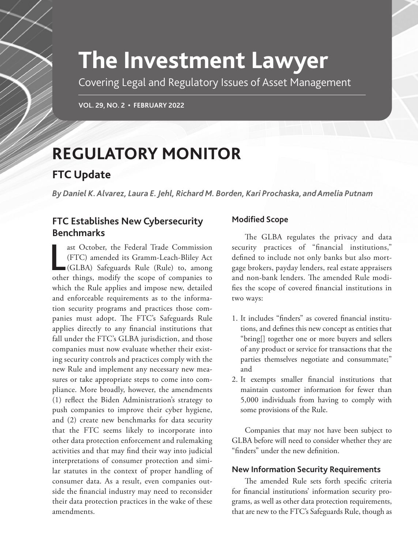# **The Investment Lawyer**

Covering Legal and Regulatory Issues of Asset Management

**VOL. 29, NO. 2 • FEBRUARY 2022**

# **REGULATORY MONITOR**

## **FTC Update**

*By Daniel K. Alvarez, Laura E. Jehl, Richard M. Borden, Kari Prochaska, and Amelia Putnam*

## **FTC Establishes New Cybersecurity Benchmarks**

ast October, the Federal Trade Commission<br>(FTC) amended its Gramm-Leach-Bliley Act<br>(GLBA) Safeguards Rule (Rule) to, among<br>other things, modify the scope of companies to ast October, the Federal Trade Commission (FTC) amended its Gramm-Leach-Bliley Act (GLBA) Safeguards Rule (Rule) to, among which the Rule applies and impose new, detailed and enforceable requirements as to the information security programs and practices those companies must adopt. The FTC's Safeguards Rule applies directly to any financial institutions that fall under the FTC's GLBA jurisdiction, and those companies must now evaluate whether their existing security controls and practices comply with the new Rule and implement any necessary new measures or take appropriate steps to come into compliance. More broadly, however, the amendments (1) reflect the Biden Administration's strategy to push companies to improve their cyber hygiene, and (2) create new benchmarks for data security that the FTC seems likely to incorporate into other data protection enforcement and rulemaking activities and that may find their way into judicial interpretations of consumer protection and similar statutes in the context of proper handling of consumer data. As a result, even companies outside the financial industry may need to reconsider their data protection practices in the wake of these amendments.

### **Modified Scope**

The GLBA regulates the privacy and data security practices of "financial institutions," defined to include not only banks but also mortgage brokers, payday lenders, real estate appraisers and non-bank lenders. The amended Rule modifies the scope of covered financial institutions in two ways:

- 1. It includes "finders" as covered financial institutions, and defines this new concept as entities that "bring[] together one or more buyers and sellers of any product or service for transactions that the parties themselves negotiate and consummate;" and
- 2. It exempts smaller financial institutions that maintain customer information for fewer than 5,000 individuals from having to comply with some provisions of the Rule.

Companies that may not have been subject to GLBA before will need to consider whether they are "finders" under the new definition.

### **New Information Security Requirements**

The amended Rule sets forth specific criteria for financial institutions' information security programs, as well as other data protection requirements, that are new to the FTC's Safeguards Rule, though as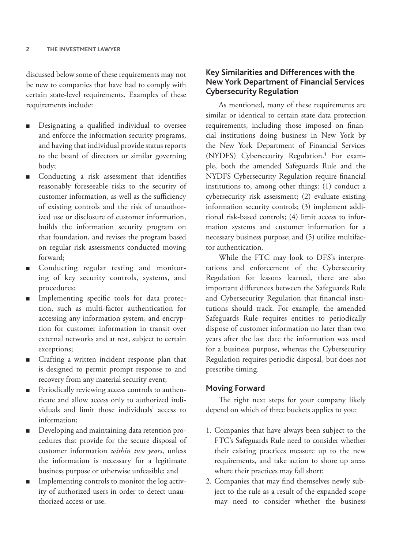discussed below some of these requirements may not be new to companies that have had to comply with certain state-level requirements. Examples of these requirements include:

- Designating a qualified individual to oversee and enforce the information security programs, and having that individual provide status reports to the board of directors or similar governing body;
- Conducting a risk assessment that identifies reasonably foreseeable risks to the security of customer information, as well as the sufficiency of existing controls and the risk of unauthorized use or disclosure of customer information, builds the information security program on that foundation, and revises the program based on regular risk assessments conducted moving forward;
- Conducting regular testing and monitoring of key security controls, systems, and procedures;
- Implementing specific tools for data protection, such as multi-factor authentication for accessing any information system, and encryption for customer information in transit over external networks and at rest, subject to certain exceptions;
- Crafting a written incident response plan that is designed to permit prompt response to and recovery from any material security event;
- Periodically reviewing access controls to authenticate and allow access only to authorized individuals and limit those individuals' access to information;
- Developing and maintaining data retention procedures that provide for the secure disposal of customer information *within two years*, unless the information is necessary for a legitimate business purpose or otherwise unfeasible; and
- Implementing controls to monitor the log activity of authorized users in order to detect unauthorized access or use.

#### **Key Similarities and Differences with the New York Department of Financial Services Cybersecurity Regulation**

As mentioned, many of these requirements are similar or identical to certain state data protection requirements, including those imposed on financial institutions doing business in New York by the New York Department of Financial Services (NYDFS) Cybersecurity Regulation.<sup>1</sup> For example, both the amended Safeguards Rule and the NYDFS Cybersecurity Regulation require financial institutions to, among other things: (1) conduct a cybersecurity risk assessment; (2) evaluate existing information security controls; (3) implement additional risk-based controls; (4) limit access to information systems and customer information for a necessary business purpose; and (5) utilize multifactor authentication.

While the FTC may look to DFS's interpretations and enforcement of the Cybersecurity Regulation for lessons learned, there are also important differences between the Safeguards Rule and Cybersecurity Regulation that financial institutions should track. For example, the amended Safeguards Rule requires entities to periodically dispose of customer information no later than two years after the last date the information was used for a business purpose, whereas the Cybersecurity Regulation requires periodic disposal, but does not prescribe timing.

#### **Moving Forward**

The right next steps for your company likely depend on which of three buckets applies to you:

- 1. Companies that have always been subject to the FTC's Safeguards Rule need to consider whether their existing practices measure up to the new requirements, and take action to shore up areas where their practices may fall short;
- 2. Companies that may find themselves newly subject to the rule as a result of the expanded scope may need to consider whether the business